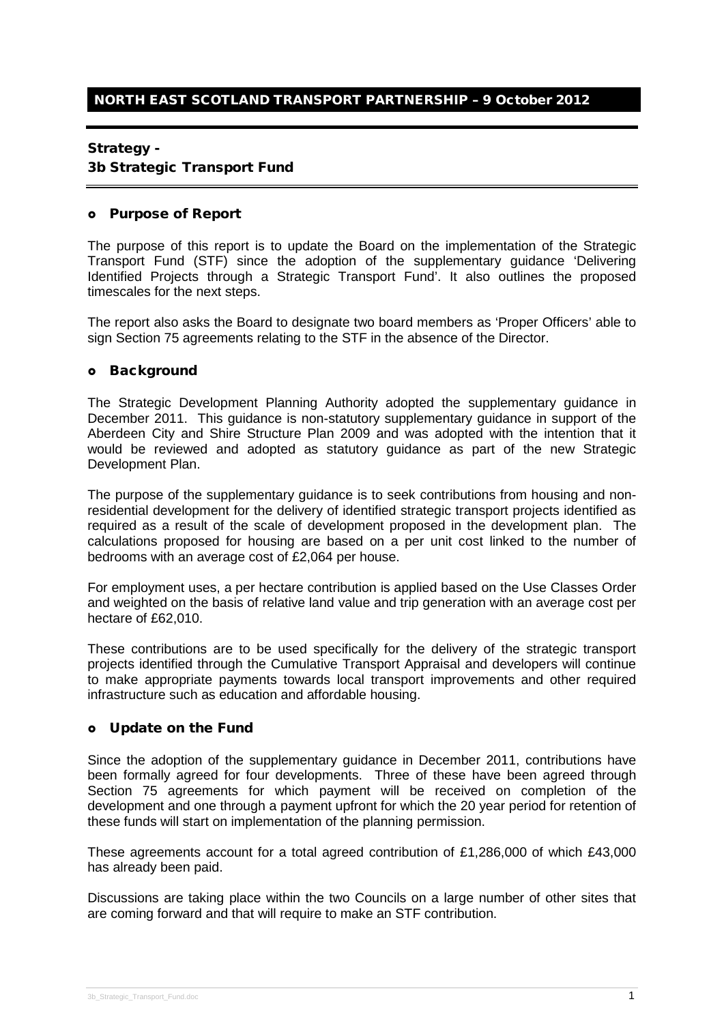### Strategy -

### 3b Strategic Transport Fund

#### Purpose of Report

The purpose of this report is to update the Board on the implementation of the Strategic Transport Fund (STF) since the adoption of the supplementary guidance 'Delivering Identified Projects through a Strategic Transport Fund'. It also outlines the proposed timescales for the next steps.

The report also asks the Board to designate two board members as 'Proper Officers' able to sign Section 75 agreements relating to the STF in the absence of the Director.

### o Background

The Strategic Development Planning Authority adopted the supplementary guidance in December 2011. This guidance is non-statutory supplementary guidance in support of the Aberdeen City and Shire Structure Plan 2009 and was adopted with the intention that it would be reviewed and adopted as statutory guidance as part of the new Strategic Development Plan.

The purpose of the supplementary guidance is to seek contributions from housing and nonresidential development for the delivery of identified strategic transport projects identified as required as a result of the scale of development proposed in the development plan. The calculations proposed for housing are based on a per unit cost linked to the number of bedrooms with an average cost of £2,064 per house.

For employment uses, a per hectare contribution is applied based on the Use Classes Order and weighted on the basis of relative land value and trip generation with an average cost per hectare of £62,010.

These contributions are to be used specifically for the delivery of the strategic transport projects identified through the Cumulative Transport Appraisal and developers will continue to make appropriate payments towards local transport improvements and other required infrastructure such as education and affordable housing.

## Update on the Fund

Since the adoption of the supplementary guidance in December 2011, contributions have been formally agreed for four developments. Three of these have been agreed through Section 75 agreements for which payment will be received on completion of the development and one through a payment upfront for which the 20 year period for retention of these funds will start on implementation of the planning permission.

These agreements account for a total agreed contribution of £1,286,000 of which £43,000 has already been paid.

Discussions are taking place within the two Councils on a large number of other sites that are coming forward and that will require to make an STF contribution.